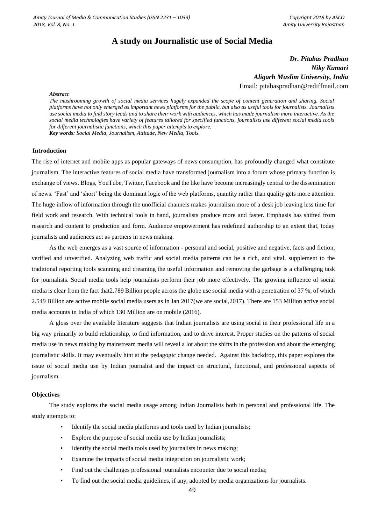# **A study on Journalistic use of Social Media**

*Dr. Pitabas Pradhan Niky Kumari Aligarh Muslim University, India* Email: pitabaspradhan@rediffmail.com

### *Abstract*

*The mushrooming growth of social media services hugely expanded the scope of content generation and sharing. Social platforms have not only emerged as important news platforms for the public, but also as useful tools for journalists. Journalists use social media to find story leads and to share their work with audiences, which has made journalism more interactive. As the social media technologies have variety of features tailored for specified functions, journalists use different social media tools for different journalistic functions, which this paper attempts to explore. Key words: Social Media, Journalism, Attitude, New Media, Tools.* 

#### **Introduction**

The rise of internet and mobile apps as popular gateways of news consumption, has profoundly changed what constitute journalism. The interactive features of social media have transformed journalism into a forum whose primary function is exchange of views. Blogs, YouTube, Twitter, Facebook and the like have become increasingly central to the dissemination of news. 'Fast' and 'short' being the dominant logic of the web platforms, quantity rather than quality gets more attention. The huge inflow of information through the unofficial channels makes journalism more of a desk job leaving less time for field work and research. With technical tools in hand, journalists produce more and faster. Emphasis has shifted from research and content to production and form. Audience empowerment has redefined authorship to an extent that, today journalists and audiences act as partners in news making.

As the web emerges as a vast source of information - personal and social, positive and negative, facts and fiction, verified and unverified. Analyzing web traffic and social media patterns can be a rich, and vital, supplement to the traditional reporting tools scanning and creaming the useful information and removing the garbage is a challenging task for journalists. Social media tools help journalists perform their job more effectively. The growing influence of social media is clear from the fact that2.789 Billion people across the globe use social media with a penetration of 37 %, of which 2.549 Billion are active mobile social media users as in Jan 2017(we are social,2017). There are 153 Million active social media accounts in India of which 130 Million are on mobile (2016).

A gloss over the available literature suggests that Indian journalists are using social in their professional life in a big way primarily to build relationship, to find information, and to drive interest. Proper studies on the patterns of social media use in news making by mainstream media will reveal a lot about the shifts in the profession and about the emerging journalistic skills. It may eventually hint at the pedagogic change needed. Against this backdrop, this paper explores the issue of social media use by Indian journalist and the impact on structural, functional, and professional aspects of journalism.

### **Objectives**

The study explores the social media usage among Indian Journalists both in personal and professional life. The study attempts to:

- Identify the social media platforms and tools used by Indian journalists;
- Explore the purpose of social media use by Indian journalists;
- Identify the social media tools used by journalists in news making;
- Examine the impacts of social media integration on journalistic work;
- Find out the challenges professional journalists encounter due to social media;
- To find out the social media guidelines, if any, adopted by media organizations for journalists.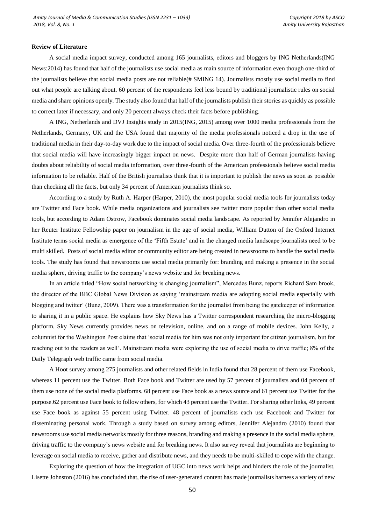### **Review of Literature**

A social media impact survey, conducted among 165 journalists, editors and bloggers by ING Netherlands(ING News:2014) has found that half of the journalists use social media as main source of information even though one-third of the journalists believe that social media posts are not reliable(# SMING 14). Journalists mostly use social media to find out what people are talking about. 60 percent of the respondents feel less bound by traditional journalistic rules on social media and share opinions openly. The study also found that half of the journalists publish their stories as quickly as possible to correct later if necessary, and only 20 percent always check their facts before publishing.

A ING, Netherlands and DVJ Insights study in 2015(ING, 2015) among over 1000 media professionals from the Netherlands, Germany, UK and the USA found that majority of the media professionals noticed a drop in the use of traditional media in their day-to-day work due to the impact of social media. Over three-fourth of the professionals believe that social media will have increasingly bigger impact on news. Despite more than half of German journalists having doubts about reliability of social media information, over three-fourth of the American professionals believe social media information to be reliable. Half of the British journalists think that it is important to publish the news as soon as possible than checking all the facts, but only 34 percent of American journalists think so.

According to a study by Ruth A. Harper (Harper, 2010), the most popular social media tools for journalists today are Twitter and Face book. While media organizations and journalists see twitter more popular than other social media tools, but according to Adam Ostrow, Facebook dominates social media landscape. As reported by Jennifer Alejandro in her Reuter Institute Fellowship paper on journalism in the age of social media, William Dutton of the Oxford Internet Institute terms social media as emergence of the 'Fifth Estate' and in the changed media landscape journalists need to be multi skilled. Posts of social media editor or community editor are being created in newsrooms to handle the social media tools. The study has found that newsrooms use social media primarily for: branding and making a presence in the social media sphere, driving traffic to the company's news website and for breaking news.

In an article titled "How social networking is changing journalism", Mercedes Bunz, reports Richard Sam brook, the director of the BBC Global News Division as saying 'mainstream media are adopting social media especially with blogging and twitter' (Bunz, 2009). There was a transformation for the journalist from being the gatekeeper of information to sharing it in a public space. He explains how Sky News has a Twitter correspondent researching the micro-blogging platform. Sky News currently provides news on television, online, and on a range of mobile devices. John Kelly, a columnist for the Washington Post claims that 'social media for him was not only important for citizen journalism, but for reaching out to the readers as well'. Mainstream media were exploring the use of social media to drive traffic; 8% of the Daily Telegraph web traffic came from social media.

A Hoot survey among 275 journalists and other related fields in India found that 28 percent of them use Facebook, whereas 11 percent use the Twitter. Both Face book and Twitter are used by 57 percent of journalists and 04 percent of them use none of the social media platforms. 68 percent use Face book as a news source and 61 percent use Twitter for the purpose.62 percent use Face book to follow others, for which 43 percent use the Twitter. For sharing other links, 49 percent use Face book as against 55 percent using Twitter. 48 percent of journalists each use Facebook and Twitter for disseminating personal work. Through a study based on survey among editors, Jennifer Alejandro (2010) found that newsrooms use social media networks mostly for three reasons, branding and making a presence in the social media sphere, driving traffic to the company's news website and for breaking news. It also survey reveal that journalists are beginning to leverage on social media to receive, gather and distribute news, and they needs to be multi-skilled to cope with the change.

Exploring the question of how the integration of UGC into news work helps and hinders the role of the journalist, Lisette Johnston (2016) has concluded that, the rise of user-generated content has made journalists harness a variety of new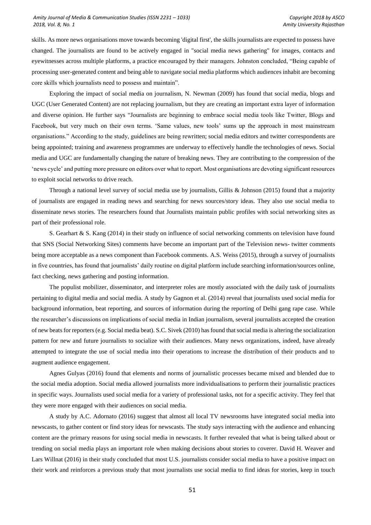### *Amity Journal of Media & Communication Studies (ISSN 2231 – 1033) Copyright 2018 by ASCO 2018, Vol. 8, No. 1 Amity University Rajasthan*

skills. As more news organisations move towards becoming 'digital first', the skills journalists are expected to possess have changed. The journalists are found to be actively engaged in "social media news gathering" for images, contacts and eyewitnesses across multiple platforms, a practice encouraged by their managers. Johnston concluded, "Being capable of processing user-generated content and being able to navigate social media platforms which audiences inhabit are becoming core skills which journalists need to possess and maintain".

Exploring the impact of social media on journalism, N. Newman (2009) has found that social media, blogs and UGC (User Generated Content) are not replacing journalism, but they are creating an important extra layer of information and diverse opinion. He further says "Journalists are beginning to embrace social media tools like Twitter, Blogs and Facebook, but very much on their own terms. 'Same values, new tools' sums up the approach in most mainstream organisations." According to the study, guidelines are being rewritten; social media editors and twitter correspondents are being appointed; training and awareness programmes are underway to effectively handle the technologies of news. Social media and UGC are fundamentally changing the nature of breaking news. They are contributing to the compression of the 'news cycle' and putting more pressure on editors over what to report. Most organisations are devoting significant resources to exploit social networks to drive reach.

Through a national level survey of social media use by journalists, Gillis & Johnson (2015) found that a majority of journalists are engaged in reading news and searching for news sources/story ideas. They also use social media to disseminate news stories. The researchers found that Journalists maintain public profiles with social networking sites as part of their professional role.

S. Gearhart & S. Kang (2014) in their study on influence of social networking comments on television have found that SNS (Social Networking Sites) comments have become an important part of the Television news- twitter comments being more acceptable as a news component than Facebook comments. A.S. Weiss (2015), through a survey of journalists in five countries, has found that journalists' daily routine on digital platform include searching information/sources online, fact checking, news gathering and posting information.

The populist mobilizer, disseminator, and interpreter roles are mostly associated with the daily task of journalists pertaining to digital media and social media. A study by Gagnon et al. (2014) reveal that journalists used social media for background information, beat reporting, and sources of information during the reporting of Delhi gang rape case. While the researcher's discussions on implications of social media in Indian journalism, several journalists accepted the creation of new beats for reporters (e.g. Social media beat). S.C. Sivek (2010) has found that social media is altering the socialization pattern for new and future journalists to socialize with their audiences. Many news organizations, indeed, have already attempted to integrate the use of social media into their operations to increase the distribution of their products and to augment audience engagement.

Agnes Gulyas (2016) found that elements and norms of journalistic processes became mixed and blended due to the social media adoption. Social media allowed journalists more individualisations to perform their journalistic practices in specific ways. Journalists used social media for a variety of professional tasks, not for a specific activity. They feel that they were more engaged with their audiences on social media.

A study by A.C. Adornato (2016) suggest that almost all local TV newsrooms have integrated social media into newscasts, to gather content or find story ideas for newscasts. The study says interacting with the audience and enhancing content are the primary reasons for using social media in newscasts. It further revealed that what is being talked about or trending on social media plays an important role when making decisions about stories to coverer. David H. Weaver and Lars Willnat (2016) in their study concluded that most U.S. journalists consider social media to have a positive impact on their work and reinforces a previous study that most journalists use social media to find ideas for stories, keep in touch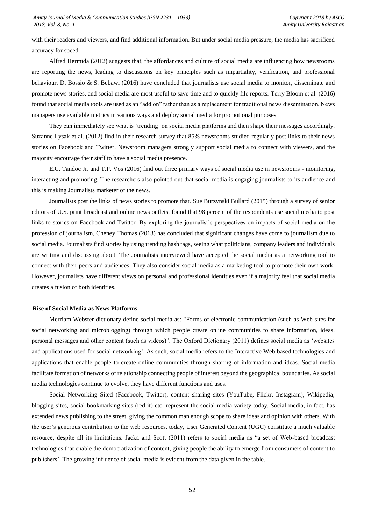with their readers and viewers, and find additional information. But under social media pressure, the media has sacrificed accuracy for speed.

Alfred Hermida (2012) suggests that, the affordances and culture of social media are influencing how newsrooms are reporting the news, leading to discussions on key principles such as impartiality, verification, and professional behaviour. D. Bossio & S. Bebawi (2016) have concluded that journalists use social media to monitor, disseminate and promote news stories, and social media are most useful to save time and to quickly file reports. Terry Bloom et al. (2016) found that social media tools are used as an "add on" rather than as a replacement for traditional news dissemination. News managers use available metrics in various ways and deploy social media for promotional purposes.

They can immediately see what is 'trending' on social media platforms and then shape their messages accordingly. Suzanne Lysak et al. (2012) find in their research survey that 85% newsrooms studied regularly post links to their news stories on Facebook and Twitter. Newsroom managers strongly support social media to connect with viewers, and the majority encourage their staff to have a social media presence.

E.C. Tandoc Jr. and T.P. Vos (2016) find out three primary ways of social media use in newsrooms - monitoring, interacting and promoting. The researchers also pointed out that social media is engaging journalists to its audience and this is making Journalists marketer of the news.

Journalists post the links of news stories to promote that. Sue Burzynski Bullard (2015) through a survey of senior editors of U.S. print broadcast and online news outlets, found that 98 percent of the respondents use social media to post links to stories on Facebook and Twitter. By exploring the journalist's perspectives on impacts of social media on the profession of journalism, Cheney Thomas (2013) has concluded that significant changes have come to journalism due to social media. Journalists find stories by using trending hash tags, seeing what politicians, company leaders and individuals are writing and discussing about. The Journalists interviewed have accepted the social media as a networking tool to connect with their peers and audiences. They also consider social media as a marketing tool to promote their own work. However, journalists have different views on personal and professional identities even if a majority feel that social media creates a fusion of both identities.

### **Rise of Social Media as News Platforms**

Merriam-Webster dictionary define social media as: "Forms of electronic communication (such as Web sites for social networking and microblogging) through which people create online communities to share information, ideas, personal messages and other content (such as videos)". The Oxford Dictionary (2011) defines social media as 'websites and applications used for social networking'. As such, social media refers to the Interactive Web based technologies and applications that enable people to create online communities through sharing of information and ideas. Social media facilitate formation of networks of relationship connecting people of interest beyond the geographical boundaries. As social media technologies continue to evolve, they have different functions and uses.

Social Networking Sited (Facebook, Twitter), content sharing sites (YouTube, Flickr, Instagram), Wikipedia, blogging sites, social bookmarking sites (red it) etc represent the social media variety today. Social media, in fact, has extended news publishing to the street, giving the common man enough scope to share ideas and opinion with others. With the user's generous contribution to the web resources, today, User Generated Content (UGC) constitute a much valuable resource, despite all its limitations. Jacka and Scott (2011) refers to social media as "a set of Web-based broadcast technologies that enable the democratization of content, giving people the ability to emerge from consumers of content to publishers'. The growing influence of social media is evident from the data given in the table.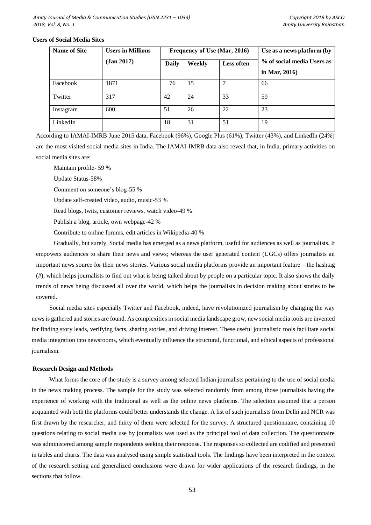# **Users of Social Media Sites**

| <b>Name of Site</b> | <b>Users in Millions</b> | Frequency of Use (Mar, 2016) |        |                   | Use as a news platform (by                  |
|---------------------|--------------------------|------------------------------|--------|-------------------|---------------------------------------------|
|                     | (Jan 2017)               | Daily                        | Weekly | <b>Less often</b> | % of social media Users as<br>in Mar, 2016) |
| Facebook            | 1871                     | 76                           | 15     |                   | 66                                          |
| Twitter             | 317                      | 42                           | 24     | 33                | 59                                          |
| Instagram           | 600                      | 51                           | 26     | 22                | 23                                          |
| LinkedIn            |                          | 18                           | 31     | 51                | 19                                          |

According to IAMAI-IMRB June 2015 data, Facebook (96%), Google Plus (61%), Twitter (43%), and LinkedIn (24%) are the most visited social media sites in India. The IAMAI-IMRB data also reveal that, in India, primary activities on social media sites are:

Maintain profile- 59 %

Update Status-58%

Comment on someone's blog-55 %

Update self-created video, audio, music-53 %

Read blogs, twits, customer reviews, watch video-49 %

Publish a blog, article, own webpage-42 %

Contribute to online forums, edit articles in Wikipedia-40 %

Gradually, but surely, Social media has emerged as a news platform, useful for audiences as well as journalists. It empowers audiences to share their news and views; whereas the user generated content (UGCs) offers journalists an important news source for their news stories. Various social media platforms provide an important feature – the hashtag (#), which helps journalists to find out what is being talked about by people on a particular topic. It also shows the daily trends of news being discussed all over the world, which helps the journalists in decision making about stories to be covered.

Social media sites especially Twitter and Facebook, indeed, have revolutionized journalism by changing the way news is gathered and stories are found. As complexities in social media landscape grow, new social media tools are invented for finding story leads, verifying facts, sharing stories, and driving interest. These useful journalistic tools facilitate social media integration into newsrooms, which eventually influence the structural, functional, and ethical aspects of professional journalism.

# **Research Design and Methods**

What forms the core of the study is a survey among selected Indian journalists pertaining to the use of social media in the news making process. The sample for the study was selected randomly from among those journalists having the experience of working with the traditional as well as the online news platforms. The selection assumed that a person acquainted with both the platforms could better understands the change. A list of such journalists from Delhi and NCR was first drawn by the researcher, and thirty of them were selected for the survey. A structured questionnaire, containing 10 questions relating to social media use by journalists was used as the principal tool of data collection. The questionnaire was administered among sample respondents seeking their response. The responses so collected are codified and presented in tables and charts. The data was analysed using simple statistical tools. The findings have been interpreted in the context of the research setting and generalized conclusions were drawn for wider applications of the research findings, in the sections that follow.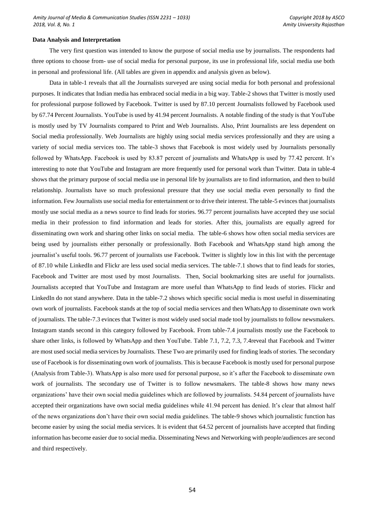### **Data Analysis and Interpretation**

The very first question was intended to know the purpose of social media use by journalists. The respondents had three options to choose from- use of social media for personal purpose, its use in professional life, social media use both in personal and professional life. (All tables are given in appendix and analysis given as below).

Data in table-1 reveals that all the Journalists surveyed are using social media for both personal and professional purposes. It indicates that Indian media has embraced social media in a big way. Table-2 shows that Twitter is mostly used for professional purpose followed by Facebook. Twitter is used by 87.10 percent Journalists followed by Facebook used by 67.74 Percent Journalists. YouTube is used by 41.94 percent Journalists. A notable finding of the study is that YouTube is mostly used by TV Journalists compared to Print and Web Journalists. Also, Print Journalists are less dependent on Social media professionally. Web Journalists are highly using social media services professionally and they are using a variety of social media services too. The table-3 shows that Facebook is most widely used by Journalists personally followed by WhatsApp. Facebook is used by 83.87 percent of journalists and WhatsApp is used by 77.42 percent. It's interesting to note that YouTube and Instagram are more frequently used for personal work than Twitter. Data in table-4 shows that the primary purpose of social media use in personal life by journalists are to find information, and then to build relationship. Journalists have so much professional pressure that they use social media even personally to find the information. Few Journalists use social media for entertainment or to drive their interest. The table-5 evinces that journalists mostly use social media as a news source to find leads for stories. 96.77 percent journalists have accepted they use social media in their profession to find information and leads for stories. After this, journalists are equally agreed for disseminating own work and sharing other links on social media. The table-6 shows how often social media services are being used by journalists either personally or professionally. Both Facebook and WhatsApp stand high among the journalist's useful tools. 96.77 percent of journalists use Facebook. Twitter is slightly low in this list with the percentage of 87.10 while LinkedIn and Flickr are less used social media services. The table-7.1 shows that to find leads for stories, Facebook and Twitter are most used by most Journalists. Then, Social bookmarking sites are useful for journalists. Journalists accepted that YouTube and Instagram are more useful than WhatsApp to find leads of stories. Flickr and LinkedIn do not stand anywhere. Data in the table-7.2 shows which specific social media is most useful in disseminating own work of journalists. Facebook stands at the top of social media services and then WhatsApp to disseminate own work of journalists. The table-7.3 evinces that Twitter is most widely used social made tool by journalists to follow newsmakers. Instagram stands second in this category followed by Facebook. From table-7.4 journalists mostly use the Facebook to share other links, is followed by WhatsApp and then YouTube. Table 7.1, 7.2, 7.3, 7.4reveal that Facebook and Twitter are most used social media services by Journalists. These Two are primarily used for finding leads of stories. The secondary use of Facebook is for disseminating own work of journalists. This is because Facebook is mostly used for personal purpose (Analysis from Table-3). WhatsApp is also more used for personal purpose, so it's after the Facebook to disseminate own work of journalists. The secondary use of Twitter is to follow newsmakers. The table-8 shows how many news organizations' have their own social media guidelines which are followed by journalists. 54.84 percent of journalists have accepted their organizations have own social media guidelines while 41.94 percent has denied. It's clear that almost half of the news organizations don't have their own social media guidelines. The table-9 shows which journalistic function has become easier by using the social media services. It is evident that 64.52 percent of journalists have accepted that finding information has become easier due to social media. Disseminating News and Networking with people/audiences are second and third respectively.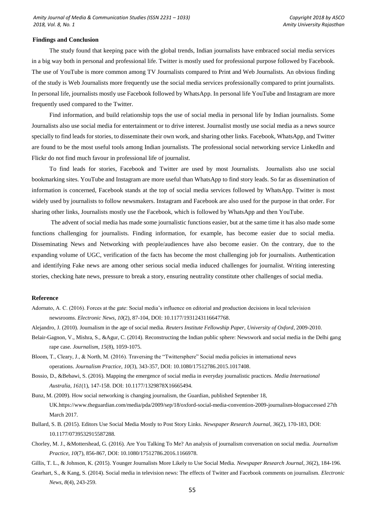### **Findings and Conclusion**

The study found that keeping pace with the global trends, Indian journalists have embraced social media services in a big way both in personal and professional life. Twitter is mostly used for professional purpose followed by Facebook. The use of YouTube is more common among TV Journalists compared to Print and Web Journalists. An obvious finding of the study is Web Journalists more frequently use the social media services professionally compared to print journalists. In personal life, journalists mostly use Facebook followed by WhatsApp. In personal life YouTube and Instagram are more frequently used compared to the Twitter.

Find information, and build relationship tops the use of social media in personal life by Indian journalists. Some Journalists also use social media for entertainment or to drive interest. Journalist mostly use social media as a news source specially to find leads for stories, to disseminate their own work, and sharing other links. Facebook, WhatsApp, and Twitter are found to be the most useful tools among Indian journalists. The professional social networking service LinkedIn and Flickr do not find much favour in professional life of journalist.

To find leads for stories, Facebook and Twitter are used by most Journalists. Journalists also use social bookmarking sites. YouTube and Instagram are more useful than WhatsApp to find story leads. So far as dissemination of information is concerned, Facebook stands at the top of social media services followed by WhatsApp. Twitter is most widely used by journalists to follow newsmakers. Instagram and Facebook are also used for the purpose in that order. For sharing other links, Journalists mostly use the Facebook, which is followed by WhatsApp and then YouTube.

The advent of social media has made some journalistic functions easier, but at the same time it has also made some functions challenging for journalists. Finding information, for example, has become easier due to social media. Disseminating News and Networking with people/audiences have also become easier. On the contrary, due to the expanding volume of UGC, verification of the facts has become the most challenging job for journalists. Authentication and identifying Fake news are among other serious social media induced challenges for journalist. Writing interesting stories, checking hate news, pressure to break a story, ensuring neutrality constitute other challenges of social media.

# **Reference**

Adornato, A. C. (2016). Forces at the gate: Social media's influence on editorial and production decisions in local television newsrooms. *Electronic News*, *10*(2), 87-104, DOI: 10.1177/1931243116647768.

Alejandro, J. (2010). Journalism in the age of social media. *Reuters Institute Fellowship Paper, University of Oxford*, 2009-2010.

- Belair-Gagnon, V., Mishra, S., &Agur, C. (2014). Reconstructing the Indian public sphere: Newswork and social media in the Delhi gang rape case. *Journalism*, *15*(8), 1059-1075.
- Bloom, T., Cleary, J., & North, M. (2016). Traversing the "Twittersphere" Social media policies in international news operations. *Journalism Practice*, *10*(3), 343-357, DOI: 10.1080/17512786.2015.1017408.
- Bossio, D., &Bebawi, S. (2016). Mapping the emergence of social media in everyday journalistic practices. *Media International Australia*, *161*(1), 147-158. DOI: 10.1177/1329878X16665494.

Bunz, M. (2009). How social networking is changing journalism, the Guardian, published September 18, UK.https://www.theguardian.com/media/pda/2009/sep/18/oxford-social-media-convention-2009-journalism-blogsaccessed 27th March 2017.

- Bullard, S. B. (2015). Editors Use Social Media Mostly to Post Story Links. *Newspaper Research Journal*, *36*(2), 170-183, DOI: 10.1177/0739532915587288.
- Chorley, M. J., &Mottershead, G. (2016). Are You Talking To Me? An analysis of journalism conversation on social media. *Journalism Practice*, *10*(7), 856-867, DOI: 10.1080/17512786.2016.1166978.
- Gillis, T. L., & Johnson, K. (2015). Younger Journalists More Likely to Use Social Media. *Newspaper Research Journal*, *36*(2), 184-196.
- Gearhart, S., & Kang, S. (2014). Social media in television news: The effects of Twitter and Facebook comments on journalism. *Electronic News*, *8*(4), 243-259.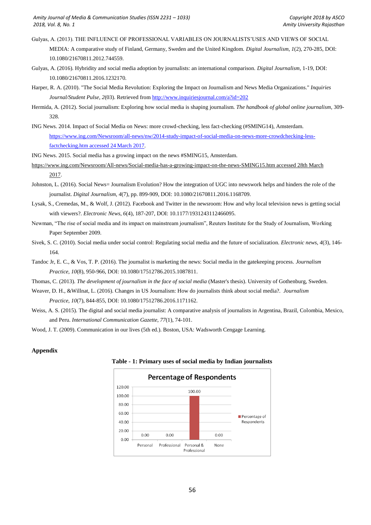- Gulyas, A. (2013). THE INFLUENCE OF PROFESSIONAL VARIABLES ON JOURNALISTS'USES AND VIEWS OF SOCIAL
	- MEDIA: A comparative study of Finland, Germany, Sweden and the United Kingdom. *Digital Journalism*, *1*(2), 270-285, DOI: 10.1080/21670811.2012.744559.
- Gulyas, A. (2016). Hybridity and social media adoption by journalists: an international comparison. *Digital Journalism*, 1-19, DOI: 10.1080/21670811.2016.1232170.
- Harper, R. A. (2010). "The Social Media Revolution: Exploring the Impact on Journalism and News Media Organizations." *Inquiries Journal/Student Pulse*, *2*(03). Retrieved from <http://www.inquiriesjournal.com/a?id=202>
- Hermida, A. (2012). Social journalism: Exploring how social media is shaping journalism. *The handbook of global online journalism*, 309- 328.
- ING News. 2014. Impact of Social Media on News: more crowd-checking, less fact-checking (#SMING14), Amsterdam. [https://www.ing.com/Newsroom/all-news/nw/2014-study-impact-of-social-media-on-news-more-crowdchecking-less](https://www.ing.com/Newsroom/all-news/nw/2014-study-impact-of-social-media-on-news-more-crowdchecking-less-factchecking.htm%20accessed%2024%20March%202017)[factchecking.htm accessed 24](https://www.ing.com/Newsroom/all-news/nw/2014-study-impact-of-social-media-on-news-more-crowdchecking-less-factchecking.htm%20accessed%2024%20March%202017) March 2017.
- ING News. 2015. Social media has a growing impact on the news #SMING15, Amsterdam.
- [https://www.ing.com/Newsroom/All-news/Social-media-has-a-growing-impact-on-the-news-SMING15.htm accessed 28th March](https://www.ing.com/Newsroom/All-news/Social-media-has-a-growing-impact-on-the-news-SMING15.htm%20accessed%2028th%20March%202017)  [2017.](https://www.ing.com/Newsroom/All-news/Social-media-has-a-growing-impact-on-the-news-SMING15.htm%20accessed%2028th%20March%202017)
- Johnston, L. (2016). Social News= Journalism Evolution? How the integration of UGC into newswork helps and hinders the role of the journalist. *Digital Journalism*, *4*(7), pp. 899-909, DOI: 10.1080/21670811.2016.1168709.
- Lysak, S., Cremedas, M., & Wolf, J. (2012). Facebook and Twitter in the newsroom: How and why local television news is getting social with viewers?. *Electronic News*, *6*(4), 187-207, DOI: 10.1177/1931243112466095.
- Newman, "The rise of social media and its impact on mainstream journalism", Reuters Institute for the Study of Journalism, Working Paper September 2009.
- Sivek, S. C. (2010). Social media under social control: Regulating social media and the future of socialization. *Electronic news*, *4*(3), 146- 164.
- Tandoc Jr, E. C., & Vos, T. P. (2016). The journalist is marketing the news: Social media in the gatekeeping process. *Journalism Practice*, *10*(8), 950-966, DOI: 10.1080/17512786.2015.1087811.
- Thomas, C. (2013). *The development of journalism in the face of social media* (Master's thesis). University of Gothenburg, Sweden.
- Weaver, D. H., &Willnat, L. (2016). Changes in US Journalism: How do journalists think about social media?. *Journalism*

*Practice*, *10*(7), 844-855, DOI: 10.1080/17512786.2016.1171162.

- Weiss, A. S. (2015). The digital and social media journalist: A comparative analysis of journalists in Argentina, Brazil, Colombia, Mexico, and Peru. *International Communication Gazette*, *77*(1), 74-101.
- Wood, J. T. (2009). Communication in our lives (5th ed.). Boston, USA: Wadsworth Cengage Learning.

# **Appendix**



# **Table - 1: Primary uses of social media by Indian journalists**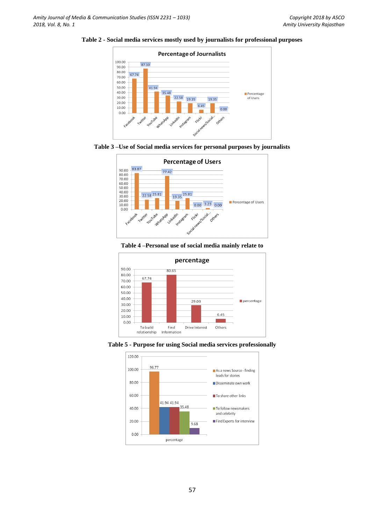













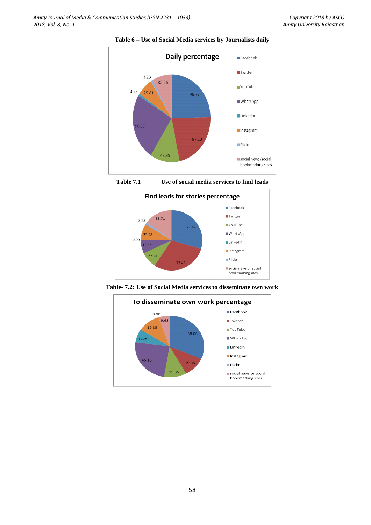

**Table 6 – Use of Social Media services by Journalists daily**



**Table 7.1 Use of social media services to find leads**



**Table- 7.2: Use of Social Media services to disseminate own work**